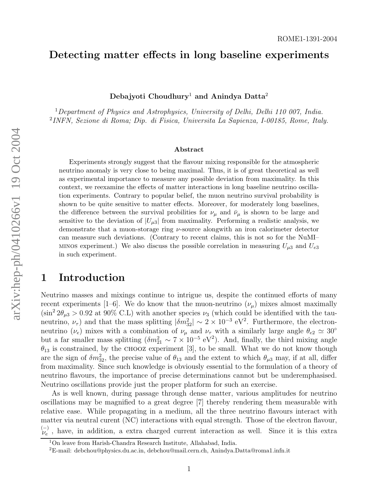## Detecting matter effects in long baseline experiments

Debajyoti Choudhury $^1$  and Anindya Datta $^2$ 

<sup>1</sup>Department of Physics and Astrophysics, University of Delhi, Delhi 110 007, India. 2 INFN, Sezione di Roma; Dip. di Fisica, Universita La Sapienza, I-00185, Rome, Italy.

#### Abstract

Experiments strongly suggest that the flavour mixing responsible for the atmospheric neutrino anomaly is very close to being maximal. Thus, it is of great theoretical as well as experimental importance to measure any possible deviation from maximality. In this context, we reexamine the effects of matter interactions in long baseline neutrino oscillation experiments. Contrary to popular belief, the muon neutrino survival probability is shown to be quite sensitive to matter effects. Moreover, for moderately long baselines, the difference between the survival probilities for  $\nu_{\mu}$  and  $\bar{\nu}_{\mu}$  is shown to be large and sensitive to the deviation of  $|U_{\mu 3}|$  from maximality. Performing a realistic analysis, we demonstrate that a muon-storage ring ν-source alongwith an iron calorimeter detector can measure such deviations. (Contrary to recent claims, this is not so for the NuMI– MINOS experiment.) We also discuss the possible correlation in measuring  $U_{\mu 3}$  and  $U_{e3}$ in such experiment.

## 1 Introduction

Neutrino masses and mixings continue to intrigue us, despite the continued efforts of many recent experiments [1–6]. We do know that the muon-neutrino  $(\nu_{\mu})$  mixes almost maximally  $(\sin^2 2\theta_{\mu 3} > 0.92 \text{ at } 90\% \text{ C.L})$  with another species  $\nu_3$  (which could be identified with the tauneutrino,  $\nu_{\tau}$ ) and that the mass splitting  $|\delta m_{32}^2| \sim 2 \times 10^{-3} \text{ eV}^2$ . Furthermore, the electronneutrino ( $\nu_e$ ) mixes with a combination of  $\nu_\mu$  and  $\nu_\tau$  with a similarly large angle  $\theta_{e2} \simeq 30^\circ$ but a far smaller mass splitting  $(\delta m_{21}^2 \sim 7 \times 10^{-5} \text{ eV}^2)$ . And, finally, the third mixing angle  $\theta_{13}$  is constrained, by the CHOOZ experiment [3], to be small. What we do not know though are the sign of  $\delta m_{32}^2$ , the precise value of  $\theta_{13}$  and the extent to which  $\theta_{\mu3}$  may, if at all, differ from maximality. Since such knowledge is obviously essential to the formulation of a theory of neutrino flavours, the importance of precise determinations cannot but be underemphasised. Neutrino oscillations provide just the proper platform for such an exercise.

As is well known, during passage through dense matter, various amplitudes for neutrino oscillations may be magnified to a great degree [7] thereby rendering them measurable with relative ease. While propagating in a medium, all the three neutrino flavours interact with matter via neutral curent (NC) interactions with equal strength. Those of the electron flavour,  $_{\nu_e}^{(-)}$ , have, in addition, a extra charged current interaction as well. Since it is this extra

<sup>1</sup>On leave from Harish-Chandra Research Institute, Allahabad, India. <sup>2</sup>E-mail: debchou@physics.du.ac.in, debchou@mail.cern.ch, Anindya.Datta@roma1.infn.it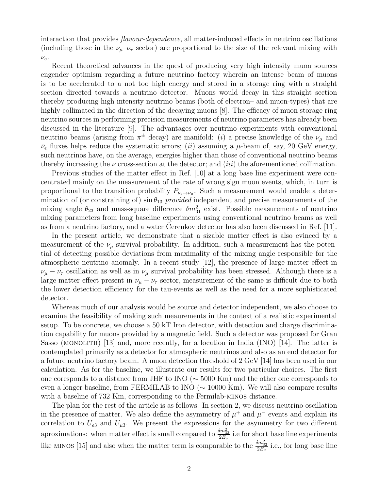interaction that provides flavour-dependence, all matter-induced effects in neutrino oscillations (including those in the  $\nu_\mu-\nu_\tau$  sector) are proportional to the size of the relevant mixing with  $\nu_e$ .

Recent theoretical advances in the quest of producing very high intensity muon sources engender optimism regarding a future neutrino factory wherein an intense beam of muons is to be accelerated to a not too high energy and stored in a storage ring with a straight section directed towards a neutrino detector. Muons would decay in this straight section thereby producing high intensity neutrino beams (both of electron– and muon-types) that are highly collimated in the direction of the decaying muons [8]. The efficacy of muon storage ring neutrino sources in performing precision measurements of neutrino parameters has already been discussed in the literature [9]. The advantages over neutrino experiments with conventional neutrino beams (arising from  $\pi^{\pm}$  decay) are manifold: (*i*) a precise knowledge of the  $\nu_{\mu}$  and  $\bar{\nu}_e$  fluxes helps reduce the systematic errors; (*ii*) assuming a  $\mu$ -beam of, say, 20 GeV energy, such neutrinos have, on the average, energies higher than those of conventional neutrino beams thereby increasing the  $\nu$  cross-section at the detector; and *(iii)* the aforementioned collimation.

Previous studies of the matter effect in Ref. [10] at a long base line experiment were concentrated mainly on the measurement of the rate of wrong sign muon events, which, in turn is proportional to the transition probablity  $P_{\nu_e \to \nu_\mu}$ . Such a measurement would enable a determination of (or constraining of)  $\sin \theta_{13}$  provided independent and precise measurements of the mixing angle  $\theta_{23}$  and mass-square difference  $\delta m_{31}^2$  exist. Possible measurements of neutrino mixing parameters from long baseline experiments using conventional neutrino beams as well as from a neutrino factory, and a water Cerenkov detector has also been discussed in Ref.  $[11]$ .

In the present article, we demonstrate that a sizable matter effect is also evinced by a measurement of the  $\nu_{\mu}$  survival probability. In addition, such a measurement has the potential of detecting possible deviations from maximality of the mixing angle responsible for the atmospheric neutrino anomaly. In a recent study [12], the presence of large matter effect in  $\nu_{\mu} - \nu_{\tau}$  oscillation as well as in  $\nu_{\mu}$  survival probability has been stressed. Although there is a large matter effect present in  $\nu_{\mu} - \nu_{\tau}$  sector, measurement of the same is difficult due to both the lower detection efficiency for the tau-events as well as the need for a more sophisticated detector.

Whereas much of our analysis would be source and detector independent, we also choose to examine the feasibility of making such meaurements in the context of a realistic experimental setup. To be concrete, we choose a 50 kT Iron detector, with detection and charge discrimination capability for muons provided by a magnetic field. Such a detector was proposed for Gran Sasso (MONOLITH) [13] and, more recently, for a location in India (INO) [14]. The latter is contemplated primarily as a detector for atmospheric neutrinos and also as an end detector for a future neutrino factory beam. A muon detection threshold of 2 GeV [14] has been used in our calculation. As for the baseline, we illustrate our results for two particular choices. The first one coresponds to a distance from JHF to INO (∼ 5000 Km) and the other one corresponds to even a longer baseline, from FERMILAB to INO (∼ 10000 Km). We will also compare results with a baseline of 732 Km, corresponding to the Fermilab-minos distance.

The plan for the rest of the article is as follows. In section 2, we discuss neutrino oscillation in the presence of matter. We also define the asymmetry of  $\mu^+$  and  $\mu^-$  events and explain its correlation to  $U_{e3}$  and  $U_{\mu 3}$ . We present the expressions for the asymmetry for two different aproximations: when matter effect is small compared to  $\frac{\delta m_{32}^2}{2E_\nu}$  i.e for short base line experiments like MINOS [15] and also when the matter term is comparable to the  $\frac{\delta m_{32}^2}{2E_\nu}$  i.e., for long base line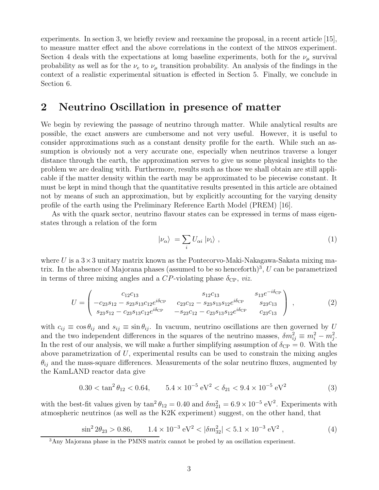experiments. In section 3, we briefly review and reexamine the proposal, in a recent article [15], to measure matter effect and the above correlations in the context of the minos experiment. Section 4 deals with the expectations at lomg baseline experiments, both for the  $\nu_{\mu}$  survival probability as well as for the  $\nu_e$  to  $\nu_\mu$  transition probability. An analysis of the findings in the context of a realistic experimental situation is effected in Section 5. Finally, we conclude in Section 6.

## 2 Neutrino Oscillation in presence of matter

We begin by reviewing the passage of neutrino through matter. While analytical results are possible, the exact answers are cumbersome and not very useful. However, it is useful to consider approximations such as a constant density profile for the earth. While such an assumption is obviously not a very accurate one, especially when neutrinos traverse a longer distance through the earth, the approximation serves to give us some physical insights to the problem we are dealing with. Furthermore, results such as those we shall obtain are still applicable if the matter density within the earth may be approximated to be piecewise constant. It must be kept in mind though that the quantitative results presented in this article are obtained not by means of such an approximation, but by explicitly accounting for the varying density profile of the earth using the Preliminary Reference Earth Model (PREM) [16].

As with the quark sector, neutrino flavour states can be expressed in terms of mass eigenstates through a relation of the form

$$
|\nu_{\alpha}\rangle = \sum_{i} U_{\alpha i} | \nu_{i} \rangle , \qquad (1)
$$

where U is a  $3\times3$  unitary matrix known as the Pontecorvo-Maki-Nakagawa-Sakata mixing matrix. In the absence of Majorana phases (assumed to be so henceforth)<sup>3</sup>, U can be parametrized in terms of three mixing angles and a  $CP$ -violating phase  $\delta_{\text{CP}}$ , *viz.* 

$$
U = \begin{pmatrix} c_{12}c_{13} & s_{12}c_{13} & s_{13}e^{-i\delta_{\text{CP}}}\\ -c_{23}s_{12} - s_{23}s_{13}c_{12}e^{i\delta_{\text{CP}}} & c_{23}c_{12} - s_{23}s_{13}s_{12}e^{i\delta_{\text{CP}}} & s_{23}c_{13} \\ s_{23}s_{12} - c_{23}s_{13}c_{12}e^{i\delta_{\text{CP}}} & -s_{23}c_{12} - c_{23}s_{13}s_{12}e^{i\delta_{\text{CP}}} & c_{23}c_{13} \end{pmatrix},
$$
(2)

with  $c_{ij} \equiv \cos \theta_{ij}$  and  $s_{ij} \equiv \sin \theta_{ij}$ . In vacuum, neutrino oscillations are then governed by U and the two independent differences in the squares of the neutrino masses,  $\delta m_{ij}^2 \equiv m_i^2 - m_j^2$ . In the rest of our analysis, we will make a further simplifying assumption of  $\delta_{\text{CP}} = 0$ . With the above parametrization of U, experimental results can be used to constrain the mixing angles  $\theta_{ij}$  and the mass-square differences. Measurements of the solar neutrino fluxes, augmented by the KamLAND reactor data give

$$
0.30 < \tan^2 \theta_{12} < 0.64, \qquad 5.4 \times 10^{-5} \, \text{eV}^2 < \delta_{21} < 9.4 \times 10^{-5} \, \text{eV}^2 \tag{3}
$$

with the best-fit values given by  $\tan^2 \theta_{12} = 0.40$  and  $\delta m_{21}^2 = 6.9 \times 10^{-5} \text{ eV}^2$ . Experiments with atmospheric neutrinos (as well as the K2K experiment) suggest, on the other hand, that

$$
\sin^2 2\theta_{23} > 0.86, \qquad 1.4 \times 10^{-3} \text{ eV}^2 < |\delta m_{32}^2| < 5.1 \times 10^{-3} \text{ eV}^2 , \tag{4}
$$

<sup>&</sup>lt;sup>3</sup>Any Majorana phase in the PMNS matrix cannot be probed by an oscillation experiment.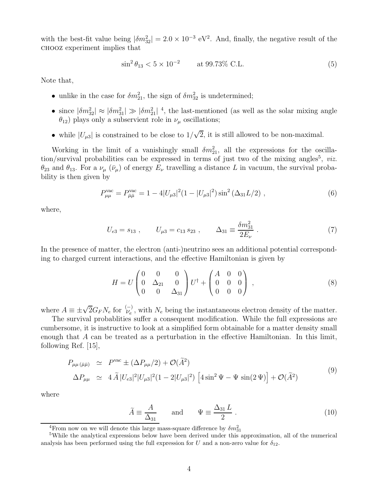with the best-fit value being  $|\delta m_{32}^2| = 2.0 \times 10^{-3} \text{ eV}^2$ . And, finally, the negative result of the chooz experiment implies that

$$
\sin^2 \theta_{13} < 5 \times 10^{-2} \qquad \text{at } 99.73\% \text{ C.L.} \tag{5}
$$

Note that,

- unlike in the case for  $\delta m_{21}^2$ , the sign of  $\delta m_{32}^2$  is undetermined;
- since  $|\delta m_{32}^2| \approx |\delta m_{31}^2| \gg |\delta m_{21}^2|^4$ , the last-mentioned (as well as the solar mixing angle  $\theta_{12}$ ) plays only a subservient role in  $\nu_\mu$  oscillations;
- while  $|U_{\mu 3}|$  is constrained to be close to  $1/\sqrt{2}$ , it is still allowed to be non-maximal.

Working in the limit of a vanishingly small  $\delta m_{21}^2$ , all the expressions for the oscillation/survival probabilities can be expressed in terms of just two of the mixing angles<sup>5</sup>, *viz.*  $\theta_{23}$  and  $\theta_{13}$ . For a  $\nu_{\mu}$  ( $\bar{\nu}_{\mu}$ ) of energy  $E_{\nu}$  travelling a distance L in vacuum, the survival probability is then given by

$$
P_{\mu\mu}^{\text{vac}} = P_{\bar{\mu}\bar{\mu}}^{\text{vac}} = 1 - 4|U_{\mu 3}|^2 (1 - |U_{\mu 3}|^2) \sin^2\left(\Delta_{31} L/2\right) ,\qquad (6)
$$

where,

$$
U_{e3} = s_{13} , \qquad U_{\mu 3} = c_{13} s_{23} , \qquad \Delta_{31} \equiv \frac{\delta m_{31}^2}{2E_\nu} . \tag{7}
$$

In the presence of matter, the electron (anti-)neutrino sees an additional potential corresponding to charged current interactions, and the effective Hamiltonian is given by

$$
H = U \begin{pmatrix} 0 & 0 & 0 \\ 0 & \Delta_{21} & 0 \\ 0 & 0 & \Delta_{31} \end{pmatrix} U^{\dagger} + \begin{pmatrix} A & 0 & 0 \\ 0 & 0 & 0 \\ 0 & 0 & 0 \end{pmatrix} , \qquad (8)
$$

where  $A \equiv \pm \sqrt{2} G_F N_e$  for  $\stackrel{(-)}{\nu_e}$ , with  $N_e$  being the instantaneous electron density of the matter.

The survival probablities suffer a consequent modification. While the full expressions are cumbersome, it is instructive to look at a simplified form obtainable for a matter density small enough that A can be treated as a perturbation in the effective Hamiltonian. In this limit, following Ref. [15],

$$
P_{\mu\mu(\bar{\mu}\bar{\mu})} \simeq P^{\text{vac}} \pm (\Delta P_{\mu\mu}/2) + \mathcal{O}(\tilde{A}^2)
$$
  
\n
$$
\Delta P_{\mu\mu} \simeq 4 \tilde{A} |U_{e3}|^2 |U_{\mu3}|^2 (1 - 2|U_{\mu3}|^2) \left[ 4 \sin^2 \Psi - \Psi \sin(2\Psi) \right] + \mathcal{O}(\tilde{A}^2)
$$
\n(9)

where

$$
\tilde{A} \equiv \frac{A}{\Delta_{31}} \quad \text{and} \quad \Psi \equiv \frac{\Delta_{31} L}{2} \,. \tag{10}
$$

<sup>4</sup>From now on we will denote this large mass-square difference by  $\delta m_{31}^2$ 

<sup>5</sup>While the analytical expressions below have been derived under this approximation, all of the numerical analysis has been performed using the full expression for U and a non-zero value for  $\delta_{12}$ .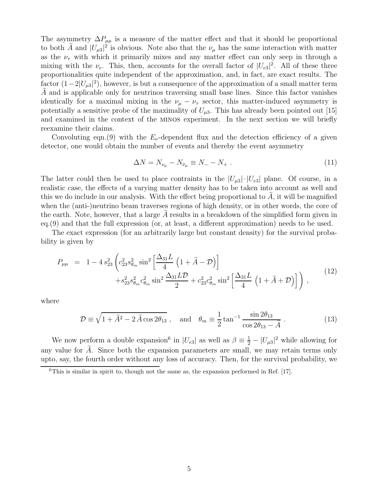The asymmetry  $\Delta P_{\mu\mu}$  is a measure of the matter effect and that it should be proportional to both A and  $|U_{\mu3}|^2$  is obvious. Note also that the  $\nu_{\mu}$  has the same interaction with matter as the  $\nu_{\tau}$  with which it primarily mixes and any matter effect can only seep in through a mixing with the  $\nu_e$ . This, then, accounts for the overall factor of  $|U_{e3}|^2$ . All of these three proportionalities quite independent of the approximation, and, in fact, are exact results. The factor  $(1-2|U_{\mu 3}|^2)$ , however, is but a consequence of the approximation of a small matter term  $A$  and is applicable only for neutrinos traversing small base lines. Since this factor vanishes identically for a maximal mixing in the  $\nu_{\mu} - \nu_{\tau}$  sector, this matter-induced asymmetry is potentially a sensitive probe of the maximality of  $U_{\mu 3}$ . This has already been pointed out [15] and examined in the context of the minos experiment. In the next section we will briefly reexamine their claims.

Convoluting eqn.(9) with the  $E_{\nu}$ -dependent flux and the detection efficiency of a given detector, one would obtain the number of events and thereby the event asymmetry

$$
\Delta N = N_{\nu_{\mu}} - N_{\bar{\nu}_{\mu}} \equiv N_{-} - N_{+} \ . \tag{11}
$$

The latter could then be used to place contraints in the  $|U_{\mu 3}|$ - $|U_{e3}|$  plane. Of course, in a realistic case, the effects of a varying matter density has to be taken into account as well and this we do include in our analysis. With the effect being proportional to  $A$ , it will be magnified when the (anti-)neutrino beam traverses regions of high density, or in other words, the core of the earth. Note, however, that a large  $A$  results in a breakdown of the simplified form given in eq.(9) and that the full expression (or, at least, a different approximation) needs to be used.

The exact expression (for an arbitrarily large but constant density) for the survival probability is given by

$$
P_{\mu\mu} = 1 - 4 s_{23}^2 \left( c_{23}^2 s_{\theta_m}^2 \sin^2 \left[ \frac{\Delta_{31} L}{4} \left( 1 + \tilde{A} - \mathcal{D} \right) \right] + s_{23}^2 s_{\theta_m}^2 c_{\theta_m}^2 \sin^2 \frac{\Delta_{31} L \mathcal{D}}{2} + c_{23}^2 c_{\theta_m}^2 \sin^2 \left[ \frac{\Delta_{31} L}{4} \left( 1 + \tilde{A} + \mathcal{D} \right) \right] \right), \tag{12}
$$

where

$$
\mathcal{D} \equiv \sqrt{1 + \tilde{A}^2 - 2\tilde{A}\cos 2\theta_{13}} \ , \quad \text{and} \quad \theta_m \equiv \frac{1}{2} \tan^{-1} \frac{\sin 2\theta_{13}}{\cos 2\theta_{13} - \tilde{A}} \ . \tag{13}
$$

We now perform a double expansion<sup>6</sup> in  $|U_{e3}|$  as well as  $\beta = \frac{1}{2} - |U_{\mu 3}|^2$  while allowing for any value for  $A$ . Since both the expansion parameters are small, we may retain terms only upto, say, the fourth order without any loss of accuracy. Then, for the survival probability, we

<sup>&</sup>lt;sup>6</sup>This is similar in spirit to, though not the same as, the expansion performed in Ref. [17].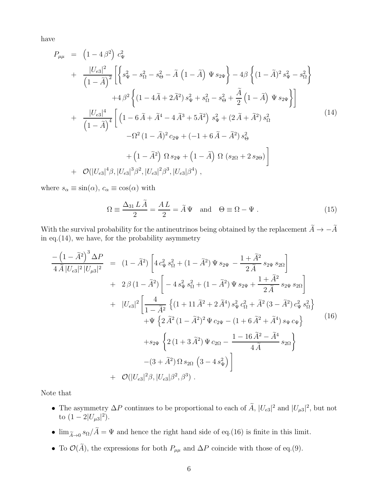have

$$
P_{\mu\mu} = (1 - 4\beta^2) c_{\Psi}^2
$$
  
+ 
$$
\frac{|U_{e3}|^2}{(1 - \tilde{A})^2} \left[ \left\{ s_{\Psi}^2 - s_{\Omega}^2 - s_{\Theta}^2 - \tilde{A} (1 - \tilde{A}) \Psi s_{2\Psi} \right\} - 4\beta \left\{ (1 - \tilde{A})^2 s_{\Psi}^2 - s_{\Omega}^2 \right\}
$$
  
+ 
$$
4\beta^2 \left\{ (1 - 4\tilde{A} + 2\tilde{A}^2) s_{\Psi}^2 + s_{\Omega}^2 - s_{\Theta}^2 + \frac{\tilde{A}}{2} (1 - \tilde{A}) \Psi s_{2\Psi} \right\} \right]
$$
  
+ 
$$
\frac{|U_{e3}|^4}{(1 - \tilde{A})^4} \left[ (1 - 6\tilde{A} + \tilde{A}^4 - 4\tilde{A}^3 + 5\tilde{A}^2) s_{\Psi}^2 + (2\tilde{A} + \tilde{A}^2) s_{\Omega}^2
$$
  
- 
$$
-\Omega^2 (1 - \tilde{A})^2 c_{2\Psi} + (-1 + 6\tilde{A} - \tilde{A}^2) s_{\Theta}^2
$$
  
+ 
$$
(1 - \tilde{A}^2) \Omega s_{2\Psi} + (1 - \tilde{A}) \Omega (s_{2\Omega} + 2 s_{2\Theta}) \right]
$$
  
+ 
$$
\mathcal{O}(|U_{e3}|^4 \beta, |U_{e3}|^3 \beta^2, |U_{e3}|^2 \beta^3, |U_{e3}| \beta^4),
$$
 (14)

where  $s_{\alpha} \equiv \sin(\alpha)$ ,  $c_{\alpha} \equiv \cos(\alpha)$  with

$$
\Omega \equiv \frac{\Delta_{31} L \ddot{A}}{2} = \frac{A L}{2} = \tilde{A} \Psi \quad \text{and} \quad \Theta \equiv \Omega - \Psi . \tag{15}
$$

With the survival probability for the antineutrinos being obtained by the replacement  $\widetilde{A}\to -\widetilde{A}$ in eq.  $(14)$ , we have, for the probability asymmetry

$$
\frac{-\left(1-\tilde{A}^{2}\right)^{3} \Delta P}{4 \tilde{A} |U_{e3}|^{2} |U_{\mu 3}|^{2}} = (1-\tilde{A}^{2}) \left[4 c_{\Psi}^{2} s_{\Omega}^{2} + (1-\tilde{A}^{2}) \Psi s_{2\Psi} - \frac{1+\tilde{A}^{2}}{2 \tilde{A}} s_{2\Psi} s_{2\Omega}\right] \n+ 2 \beta (1-\tilde{A}^{2}) \left[-4 s_{\Psi}^{2} s_{\Omega}^{2} + (1-\tilde{A}^{2}) \Psi s_{2\Psi} + \frac{1+\tilde{A}^{2}}{2 \tilde{A}} s_{2\Psi} s_{2\Omega}\right] \n+ |U_{e3}|^{2} \left[\frac{4}{1-\tilde{A}^{2}} \left\{(1+11 \tilde{A}^{2} + 2 \tilde{A}^{4}) s_{\Psi}^{2} c_{\Omega}^{2} + \tilde{A}^{2} (3-\tilde{A}^{2}) c_{\Psi}^{2} s_{\Omega}^{2}\right\} + \Psi \left\{2 \tilde{A}^{2} (1-\tilde{A}^{2})^{2} \Psi c_{2\Psi} - (1+6 \tilde{A}^{2} + \tilde{A}^{4}) s_{\Psi} c_{\Psi}\right\} + s_{2\Psi} \left\{2 (1+3 \tilde{A}^{2}) \Psi c_{2\Omega} - \frac{1-16 \tilde{A}^{2} - \tilde{A}^{4}}{4 \tilde{A}} s_{2\Omega}\right\} \n- (3+\tilde{A}^{2}) \Omega s_{2\Omega} (3-4 s_{\Psi}^{2}) \right] \n+ \mathcal{O}(|U_{e3}|^{2} \beta, |U_{e3}| \beta^{2}, \beta^{3}). \qquad (16)
$$

Note that

- The asymmetry  $\Delta P$  continues to be proportional to each of  $\hat{A}$ ,  $|U_{e3}|^2$  and  $|U_{\mu 3}|^2$ , but not to  $(1-2|U_{\mu 3}|^2)$ .
- $\lim_{\tilde{A}\to 0} s_{\Omega}/A = \Psi$  and hence the right hand side of eq.(16) is finite in this limit.
- To  $\mathcal{O}(\widetilde{A})$ , the expressions for both  $P_{\mu\mu}$  and  $\Delta P$  coincide with those of eq.(9).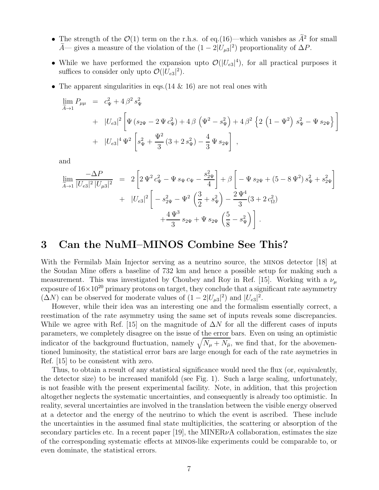- The strength of the  $\mathcal{O}(1)$  term on the r.h.s. of eq.(16)—which vanishes as  $\tilde{A}^2$  for small  $\hat{A}$ — gives a measure of the violation of the  $(1 - 2|U_{\mu 3}|^2)$  proportionality of  $\Delta P$ .
- While we have performed the expansion upto  $\mathcal{O}(|U_{e3}|^4)$ , for all practical purposes it suffices to consider only upto  $\mathcal{O}(|U_{e3}|^2)$ .
- The apparent singularities in eqs.  $(14 \& 16)$  are not real ones with

$$
\lim_{\tilde{A}\to 1} P_{\mu\mu} = c_{\Psi}^2 + 4\beta^2 s_{\Psi}^2
$$
\n
$$
+ |U_{e3}|^2 \left[ \Psi (s_{2\Psi} - 2\Psi c_{\Psi}^2) + 4\beta \left( \Psi^2 - s_{\Psi}^2 \right) + 4\beta^2 \left\{ 2 \left( 1 - \Psi^2 \right) s_{\Psi}^2 - \Psi s_{2\Psi} \right\} \right]
$$
\n
$$
+ |U_{e3}|^4 \Psi^2 \left[ s_{\Psi}^2 + \frac{\Psi^2}{3} (3 + 2 s_{\Psi}^2) - \frac{4}{3} \Psi s_{2\Psi} \right],
$$

and

$$
\lim_{\widetilde{A}\to 1} \frac{-\Delta P}{|U_{e3}|^2 |U_{\mu 3}|^2} = 2 \left[ 2 \Psi^2 c_{\Psi}^2 - \Psi s_{\Psi} c_{\Psi} - \frac{s_{2\Psi}^2}{4} \right] + \beta \left[ -\Psi s_{2\Psi} + (5 - 8 \Psi^2) s_{\Psi}^2 + s_{2\Psi}^2 \right] \n+ |U_{e3}|^2 \left[ -s_{2\Psi}^2 - \Psi^2 \left( \frac{3}{2} + s_{\Psi}^2 \right) - \frac{2 \Psi^4}{3} (3 + 2 c_{\Omega}^2) \right. \n+ \frac{4 \Psi^3}{3} s_{2\Psi} + \Psi s_{2\Psi} \left( \frac{5}{8} - s_{\Psi}^2 \right) \right].
$$

## 3 Can the NuMI–MINOS Combine See This?

With the Fermilab Main Injector serving as a neutrino source, the minos detector [18] at the Soudan Mine offers a baseline of 732 km and hence a possible setup for making such a measurement. This was investigated by Choubey and Roy in Ref. [15]. Working with a  $\nu_{\mu}$ exposure of  $16\times10^{20}$  primary protons on target, they conclude that a significant rate asymmetry  $(\Delta N)$  can be observed for moderate values of  $(1 - 2|U_{\mu 3}|^2)$  and  $|U_{e3}|^2$ .

However, while their idea was an interesting one and the formalism essentially correct, a reestimation of the rate asymmetry using the same set of inputs reveals some discrepancies. While we agree with Ref. [15] on the magnitude of  $\Delta N$  for all the different cases of inputs parameters, we completely disagree on the issue of the error bars. Even on using an optimistic indicator of the background fluctuation, namely  $\sqrt{N_{\mu} + N_{\overline{\mu}}}$ , we find that, for the abovementioned luminosity, the statistical error bars are large enough for each of the rate asymetries in Ref. [15] to be consistent with zero.

Thus, to obtain a result of any statistical significance would need the flux (or, equivalently, the detector size) to be increased manifold (see Fig. 1). Such a large scaling, unfortunately, is not feasible with the present experimental facility. Note, in addition, that this projection altogether neglects the systematic uncertainties, and consequently is already too optimistic. In reality, several uncertainties are involved in the translation between the visible energy observed at a detector and the energy of the neutrino to which the event is ascribed. These include the uncertainties in the assumed final state multiplicities, the scattering or absorption of the secondary particles etc. In a recent paper [19], the MINER $\nu$ A collaboration, estimates the size of the corresponding systematic effects at minos-like experiments could be comparable to, or even dominate, the statistical errors.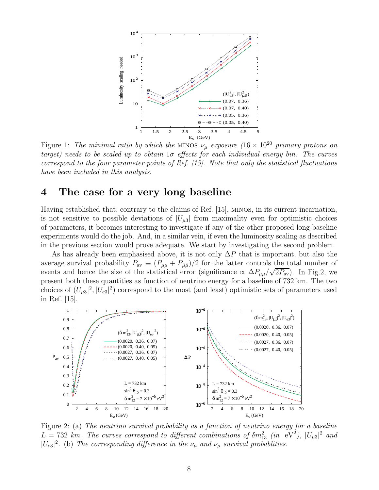

Figure 1: The minimal ratio by which the MINOS  $\nu_{\mu}$  exposure  $(16 \times 10^{20} \text{ primary protons on}$ target) needs to be scaled up to obtain  $1\sigma$  effects for each individual energy bin. The curves correspond to the four parameter points of Ref. [15]. Note that only the statistical fluctuations have been included in this analysis.

## 4 The case for a very long baseline

Having established that, contrary to the claims of Ref. [15], minos, in its current incarnation, is not sensitive to possible deviations of  $|U_{\mu3}|$  from maximality even for optimistic choices of parameters, it becomes interesting to investigate if any of the other proposed long-baseline experiments would do the job. And, in a similar vein, if even the luminosity scaling as described in the previous section would prove adequate. We start by investigating the second problem.

As has already been emphasised above, it is not only  $\Delta P$  that is important, but also the average survival probability  $P_{\text{av}} \equiv (P_{\mu\mu} + P_{\bar{\mu}\bar{\mu}})/2$  for the latter controls the total number of events and hence the size of the statistical error (significance  $\propto \Delta P_{\mu\mu}/\sqrt{2P_{\rm av}}$ ). In Fig.2, we present both these quantities as function of neutrino energy for a baseline of 732 km. The two choices of  $(U_{\mu3}|^2, |U_{e3}|^2)$  correspond to the most (and least) optimistic sets of parameters used in Ref. [15].



Figure 2: (a) The neutrino survival probability as a function of neutrino energy for a baseline  $L = 732$  km. The curves correspond to different combinations of  $\delta m_{13}^2$  (in  $\text{eV}^2$ ),  $|U_{\mu 3}|^2$  and  $|U_{e3}|^2$ . (b) The corresponding difference in the  $\nu_\mu$  and  $\bar{\nu}_\mu$  survival probablities.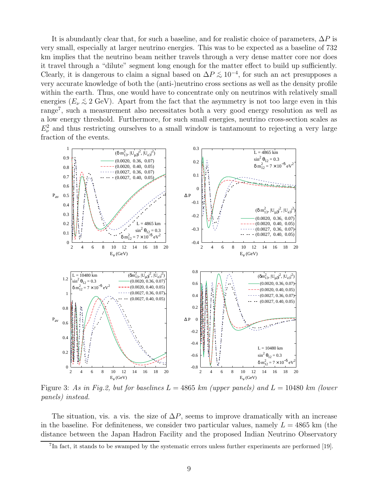It is abundantly clear that, for such a baseline, and for realistic choice of parameters,  $\Delta P$  is very small, especially at larger neutrino energies. This was to be expected as a baseline of 732 km implies that the neutrino beam neither travels through a very dense matter core nor does it travel through a "dilute" segment long enough for the matter effect to build up sufficiently. Clearly, it is dangerous to claim a signal based on  $\Delta P \lesssim 10^{-4}$ , for such an act presupposes a very accurate knowledge of both the (anti-)neutrino cross sections as well as the density profile within the earth. Thus, one would have to concentrate only on neutrinos with relatively small energies  $(E_\nu \lesssim 2 \text{ GeV})$ . Apart from the fact that the asymmetry is not too large even in this range<sup>7</sup> , such a measurement also necessitates both a very good energy resolution as well as a low energy threshold. Furthermore, for such small energies, neutrino cross-section scales as  $E_{\nu}^2$  and thus restricting ourselves to a small window is tantamount to rejecting a very large fraction of the events.



Figure 3: As in Fig.2, but for baselines  $L = 4865$  km (upper panels) and  $L = 10480$  km (lower panels) instead.

The situation, vis. a vis. the size of  $\Delta P$ , seems to improve dramatically with an increase in the baseline. For definiteness, we consider two particular values, namely  $L = 4865$  km (the distance between the Japan Hadron Facility and the proposed Indian Neutrino Observatory

<sup>&</sup>lt;sup>7</sup>In fact, it stands to be swamped by the systematic errors unless further experiments are performed [19].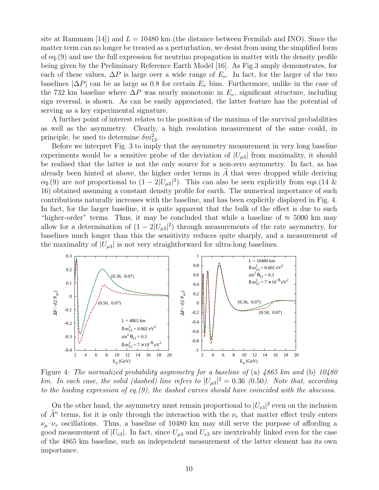site at Rammam [14]) and  $L = 10480$  km (the distance between Fermilab and INO). Since the matter term can no longer be treated as a perturbation, we desist from using the simplified form of eq.(9) and use the full expression for neutrino propagation in matter with the density profile being given by the Preliminary Reference Earth Model [16]. As Fig.3 amply demonstrates, for each of these values,  $\Delta P$  is large over a wide range of  $E_{\nu}$ . In fact, for the larger of the two baselines  $|\Delta P|$  can be as large as 0.8 for certain  $E_{\nu}$  bins. Furthermore, unlike in the case of the 732 km baseline where  $\Delta P$  was nearly monotonic in  $E_{\nu}$ , significant structure, including sign reversal, is shown. As can be easily appreciated, the latter feature has the potential of serving as a key experimental signature.

A further point of interest relates to the position of the maxima of the survival probabilities as well as the asymmetry. Clearly, a high resolution measurement of the same could, in principle, be used to determine  $\delta m_{13}^2$ .

Before we interpret Fig. 3 to imply that the asymmetry measurement in very long baseline experiments would be a sensitive probe of the deviation of  $|U_{\mu3}|$  from maximality, it should be realised that the latter is not the only source for a non-zero asymmetry. In fact, as has already been hinted at above, the higher order terms in  $A$  that were dropped while deriving eq.(9) are *not* proportional to  $(1 - 2|U_{\mu 3}|^2)$ . This can also be seen explicitly from eqs.(14 & 16) obtained assuming a constant density profile for earth. The numerical importance of such contributions naturally increases with the baseline, and has been explicitly displayed in Fig. 4. In fact, for the larger baseline, it is quite apparent that the bulk of the effect is due to such "higher-order" terms. Thus, it may be concluded that while a baseline of  $\approx$  5000 km may allow for a determination of  $(1 - 2|U_{\mu 3}|^2)$  through measurements of the rate asymmetry, for baselines much longer than this the sensitivity reduces quite sharply, and a measurement of the maximality of  $|U_{\mu 3}|$  is not very straightforward for ultra-long baselines.



Figure 4: The normalized probability asymmetry for a baseline of (a) 4865 km and (b) 10480 km. In each case, the solid (dashed) line refers to  $|U_{\mu 3}|^2 = 0.36$  (0.50). Note that, according to the leading expression of eq.(9), the dashed curves should have coincided with the abscissa.

On the other hand, the asymmetry must remain proportional to  $|U_{e3}|^2$  even on the inclusion of  $\tilde{A}^n$  terms, for it is only through the interaction with the  $\nu_e$  that matter effect truly enters  $\nu_\mu-\nu_\tau$  oscillations. Thus, a baseline of 10480 km may still serve the purpose of affording a good measurement of  $|U_{e3}|$ . In fact, since  $U_{\mu 3}$  and  $U_{e3}$  are inextricably linked even for the case of the 4865 km baseline, such an independent measurement of the latter element has its own importance.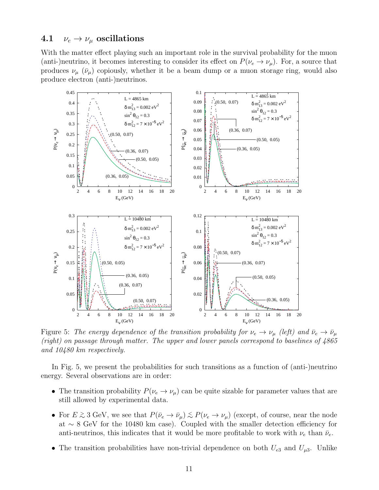### 4.1  $\nu_e \rightarrow \nu_\mu$  oscillations

With the matter effect playing such an important role in the survival probability for the muon (anti-)neutrino, it becomes interesting to consider its effect on  $P(\nu_e \to \nu_\mu)$ . For, a source that produces  $\nu_{\mu}$  ( $\bar{\nu}_{\mu}$ ) copiously, whether it be a beam dump or a muon storage ring, would also produce electron (anti-)neutrinos.



Figure 5: The energy dependence of the transition probability for  $\nu_e \to \nu_\mu$  (left) and  $\bar{\nu}_e \to \bar{\nu}_\mu$ (right) on passage through matter. The upper and lower panels correspond to baselines of 4865 and 10480 km respectively.

In Fig. 5, we present the probabilities for such transitions as a function of (anti-)neutrino energy. Several observations are in order:

- The transition probability  $P(\nu_e \to \nu_\mu)$  can be quite sizable for parameter values that are still allowed by experimental data.
- For  $E \gtrsim 3$  GeV, we see that  $P(\bar{\nu}_e \to \bar{\nu}_\mu) \lesssim P(\nu_e \to \nu_\mu)$  (except, of course, near the node at ∼ 8 GeV for the 10480 km case). Coupled with the smaller detection efficiency for anti-neutrinos, this indicates that it would be more profitable to work with  $\nu_e$  than  $\bar{\nu}_e$ .
- The transition probabilities have non-trivial dependence on both  $U_{e3}$  and  $U_{\mu 3}$ . Unlike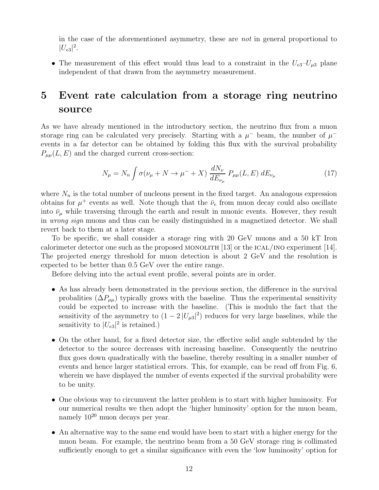in the case of the aforementioned asymmetry, these are not in general proportional to  $|U_{e3}|^2$ .

• The measurement of this effect would thus lead to a constraint in the  $U_{e3}-U_{\mu 3}$  plane independent of that drawn from the asymmetry measurement.

# 5 Event rate calculation from a storage ring neutrino source

As we have already mentioned in the introductory section, the neutrino flux from a muon storage ring can be calculated very precisely. Starting with a  $\mu^-$  beam, the number of  $\mu^$ events in a far detector can be obtained by folding this flux with the survival probability  $P_{\mu\mu}(L, E)$  and the charged current cross-section:

$$
N_{\mu} = N_n \int \sigma(\nu_{\mu} + N \to \mu^{-} + X) \frac{dN_{\nu}}{dE_{\nu_{\mu}}} P_{\mu\mu}(L, E) dE_{\nu_{\mu}}
$$
(17)

where  $N_n$  is the total number of nucleons present in the fixed target. An analogous expression obtains for  $\mu^+$  events as well. Note though that the  $\bar{\nu}_e$  from muon decay could also oscillate into  $\bar{\nu}_{\mu}$  while traversing through the earth and result in muonic events. However, they result in wrong sign muons and thus can be easily distinguished in a magnetized detector. We shall revert back to them at a later stage.

To be specific, we shall consider a storage ring with 20 GeV muons and a 50 kT Iron calorimeter detector one such as the proposed MONOLITH  $[13]$  or the ICAL/INO experiment  $[14]$ . The projected energy threshold for muon detection is about 2 GeV and the resolution is expected to be better than 0.5 GeV over the entire range.

Before delving into the actual event profile, several points are in order.

- As has already been demonstrated in the previous section, the difference in the survival probalities  $(\Delta P_{\mu\mu})$  typically grows with the baseline. Thus the experimental sensitivity could be expected to increase with the baseline. (This is modulo the fact that the sensitivity of the asymmetry to  $(1 - 2 |U_{\mu 3}|^2)$  reduces for very large baselines, while the sensitivity to  $|U_{e3}|^2$  is retained.)
- On the other hand, for a fixed detector size, the effective solid angle subtended by the detector to the source decreases with increasing baseline. Consequently the neutrino flux goes down quadratically with the baseline, thereby resulting in a smaller number of events and hence larger statistical errors. This, for example, can be read off from Fig. 6, wherein we have displayed the number of events expected if the survival probability were to be unity.
- One obvious way to circumvent the latter problem is to start with higher luminosity. For our numerical results we then adopt the 'higher luminosity' option for the muon beam, namely 10<sup>20</sup> muon decays per year.
- An alternative way to the same end would have been to start with a higher energy for the muon beam. For example, the neutrino beam from a 50 GeV storage ring is collimated sufficiently enough to get a similar significance with even the 'low luminosity' option for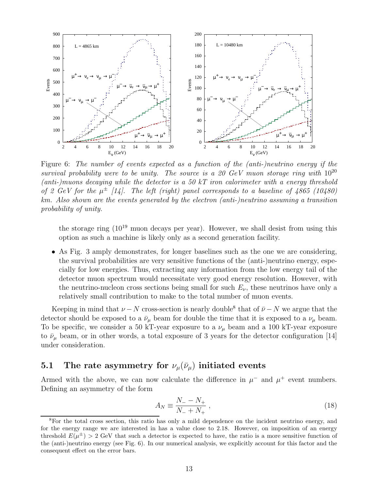

Figure 6: The number of events expected as a function of the (anti-)neutrino energy if the survival probability were to be unity. The source is a 20 GeV muon storage ring with  $10^{20}$ (anti-)muons decaying while the detector is a 50 kT iron calorimeter with a energy threshold of 2 GeV for the  $\mu^{\pm}$  [14]. The left (right) panel corresponds to a baseline of 4865 (10480) km. Also shown are the events generated by the electron (anti-)neutrino assuming a transition probability of unity.

the storage ring  $(10^{19}$  muon decays per year). However, we shall desist from using this option as such a machine is likely only as a second generation facility.

• As Fig. 3 amply demonstrates, for longer baselines such as the one we are considering, the survival probabilities are very sensitive functions of the (anti-)neutrino energy, especially for low energies. Thus, extracting any information from the low energy tail of the detector muon spectrum would necessitate very good energy resolution. However, with the neutrino-nucleon cross sections being small for such  $E_{\nu}$ , these neutrinos have only a relatively small contribution to make to the total number of muon events.

Keeping in mind that  $\nu - N$  cross-section is nearly double<sup>8</sup> that of  $\bar{\nu} - N$  we argue that the detector should be exposed to a  $\bar{\nu}_{\mu}$  beam for double the time that it is exposed to a  $\nu_{\mu}$  beam. To be specific, we consider a 50 kT-year exposure to a  $\nu_{\mu}$  beam and a 100 kT-year exposure to  $\bar{\nu}_{\mu}$  beam, or in other words, a total exposure of 3 years for the detector configuration [14] under consideration.

### 5.1 The rate asymmetry for  $\nu_\mu(\bar{\nu}_\mu)$  initiated events

Armed with the above, we can now calculate the difference in  $\mu^-$  and  $\mu^+$  event numbers. Defining an asymmetry of the form

$$
A_N \equiv \frac{N_- - N_+}{N_- + N_+} \,,\tag{18}
$$

<sup>&</sup>lt;sup>8</sup>For the total cross section, this ratio has only a mild dependence on the incident neutrino energy, and for the energy range we are interested in has a value close to 2.18. However, on imposition of an energy threshold  $E(\mu^{\pm}) > 2$  GeV that such a detector is expected to have, the ratio is a more sensitive function of the (anti-)neutrino energy (see Fig. 6). In our numerical analysis, we explicitly account for this factor and the consequent effect on the error bars.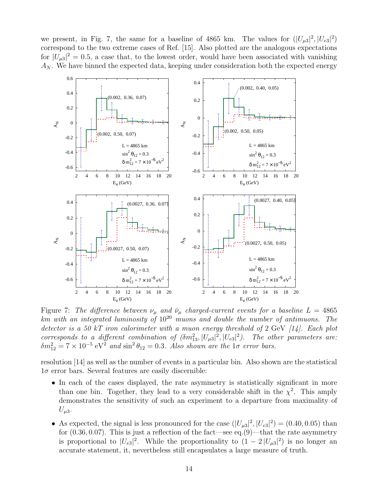we present, in Fig. 7, the same for a baseline of 4865 km. The values for  $(|U_{\mu3}|^2, |U_{e3}|^2)$ correspond to the two extreme cases of Ref. [15]. Also plotted are the analogous expectations for  $|U_{\mu 3}|^2 = 0.5$ , a case that, to the lowest order, would have been associated with vanishing  $A_N$ . We have binned the expected data, keeping under consideration both the expected energy



Figure 7: The difference between  $\nu_{\mu}$  and  $\bar{\nu}_{\mu}$  charged-current events for a baseline  $L = 4865$ km with an integrated luminosity of  $10^{20}$  muons and double the number of antimuons. The detector is a 50 kT iron calorimeter with a muon energy threshold of 2 GeV  $[14]$ . Each plot corresponds to a different combination of  $(\delta m_{13}^2, |U_{\mu 3}|^2, |U_{e3}|^2)$ . The other parameters are:  $\delta m_{12}^2 = 7 \times 10^{-5} \text{ eV}^2$  and  $\sin^2 \theta_{12} = 0.3$ . Also shown are the  $1\sigma$  error bars.

resolution [14] as well as the number of events in a particular bin. Also shown are the statistical  $1\sigma$  error bars. Several features are easily discernible:

- In each of the cases displayed, the rate asymmetry is statistically significant in more than one bin. Together, they lead to a very considerable shift in the  $\chi^2$ . This amply demonstrates the sensitivity of such an experiment to a departure from maximality of  $U_{\mu 3}$ .
- As expected, the signal is less pronounced for the case  $(|U_{\mu3}|^2, |U_{e3}|^2) = (0.40, 0.05)$  than for  $(0.36, 0.07)$ . This is just a reflection of the fact—see eq. $(9)$ —that the rate asymmetry is proportional to  $|U_{e3}|^2$ . While the proportionality to  $(1-2|U_{\mu 3}|^2)$  is no longer an accurate statement, it, nevertheless still encapsulates a large measure of truth.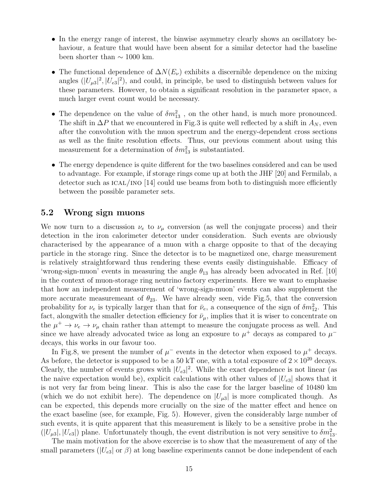- In the energy range of interest, the binwise asymmetry clearly shows an oscillatory behaviour, a feature that would have been absent for a similar detector had the baseline been shorter than  $\sim 1000$  km.
- The functional dependence of  $\Delta N(E_\nu)$  exhibits a discernible dependence on the mixing angles  $(|U_{\mu 3}|^2, |U_{e3}|^2)$ , and could, in principle, be used to distinguish between values for these parameters. However, to obtain a significant resolution in the parameter space, a much larger event count would be necessary.
- The dependence on the value of  $\delta m_{13}^2$ , on the other hand, is much more pronounced. The shift in  $\Delta P$  that we encountered in Fig.3 is quite well reflected by a shift in  $A_N$ , even after the convolution with the muon spectrum and the energy-dependent cross sections as well as the finite resolution effects. Thus, our previous comment about using this measurement for a determination of  $\delta m_{13}^2$  is substantiated.
- The energy dependence is quite different for the two baselines considered and can be used to advantage. For example, if storage rings come up at both the JHF [20] and Fermilab, a detector such as  $ICAL/INO$  [14] could use beams from both to distinguish more efficiently between the possible parameter sets.

### 5.2 Wrong sign muons

We now turn to a discussion  $\nu_e$  to  $\nu_\mu$  conversion (as well the conjugate process) and their detection in the iron calorimeter detector under consideration. Such events are obviously characterised by the appearance of a muon with a charge opposite to that of the decaying particle in the storage ring. Since the detector is to be magnetized one, charge measurement is relatively straightforward thus rendering these events easily distinguishable. Efficacy of 'wrong-sign-muon' events in measuring the angle  $\theta_{13}$  has already been advocated in Ref. [10] in the context of muon-storage ring neutrino factory experiments. Here we want to emphasise that how an independent measurement of 'wrong-sign-muon' events can also supplement the more accurate measuremeant of  $\theta_{23}$ . We have already seen, vide Fig.5, that the conversion probability for  $\nu_e$  is typically larger than that for  $\bar{\nu}_e$ , a consequence of the sign of  $\delta m_{12}^2$ . This fact, alongwith the smaller detection efficiency for  $\bar{\nu}_{\mu}$ , implies that it is wiser to concentrate on the  $\mu^+ \to \nu_e \to \nu_\mu$  chain rather than attempt to measure the conjugate process as well. And since we have already advocated twice as long an exposure to  $\mu^+$  decays as compared to  $\mu^$ decays, this works in our favour too.

In Fig.8, we present the number of  $\mu^-$  events in the detector when exposed to  $\mu^+$  decays. As before, the detector is supposed to be a 50 kT one, with a total exposure of  $2 \times 10^{20}$  decays. Clearly, the number of events grows with  $|U_{e3}|^2$ . While the exact dependence is not linear (as the naive expectation would be), explicit calculations with other values of  $|U_{e3}|$  shows that it is not very far from being linear. This is also the case for the larger baseline of 10480 km (which we do not exhibit here). The dependence on  $|U_{\mu3}|$  is more complicated though. As can be expected, this depends more crucially on the size of the matter effect and hence on the exact baseline (see, for example, Fig. 5). However, given the considerably large number of such events, it is quite apparent that this measurement is likely to be a sensitive probe in the  $(|U_{\mu3}|, |U_{e3}|)$  plane. Unfortunately though, the event distribution is not very sensitive to  $\delta m_{13}^2$ .

The main motivation for the above excercise is to show that the measurement of any of the small parameters ( $|U_{e3}|$  or  $\beta$ ) at long baseline experiments cannot be done independent of each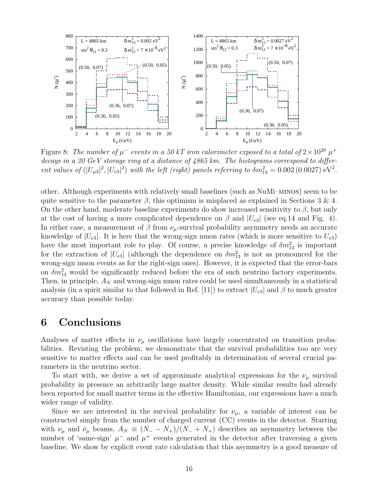

Figure 8: The number of  $\mu^-$  events in a 50 kT iron calorimeter exposed to a total of  $2 \times 10^{20} \mu^+$ decays in a 20 GeV storage ring at a distance of 4865 km. The histograms correspond to different values of  $(|U_{\mu 3}|^2, |U_{e3}|^2)$  with the left (right) panels referring to  $\delta m_{13}^2 = 0.002 (0.0027) \text{ eV}^2$ .

other. Although experiments with relatively small baselines (such as NuMi–minos) seem to be quite sensitive to the parameter  $\beta$ , this optimism is misplaced as explained in Sections 3 & 4. On the other hand, moderate baseline experiments do show increased sensitivity to  $\beta$ , but only at the cost of having a more complicated dependence on  $\beta$  and  $|U_{e3}|$  (see eq.14 and Fig. 4). In either case, a measurement of  $\beta$  from  $\nu_\mu$ -survival probability asymmetry needs an accurate knowledge of  $|U_{e3}|$ . It is here that the wrong-sign muon rates (which is more sensitive to  $U_{e3}$ ) have the most important role to play. Of course, a precise knowledge of  $\delta m_{13}^2$  is important for the extraction of  $|U_{e3}|$  (although the dependence on  $\delta m_{13}^2$  is not as pronounced for the wrong-sign muon events as for the right-sign ones). However, it is expected that the error-bars on  $\delta m_{13}^2$  would be significantly reduced before the era of such neutrino factory experiments. Then, in principle,  $A_N$  and wrong-sign muon rates could be used simultaneously in a statistical analysis (in a spirit similar to that followed in Ref. [11]) to extract  $|U_{e3}|$  and  $\beta$  to much greater accuracy than possible today.

## 6 Conclusions

Analyses of matter effects in  $\nu_{\mu}$  oscillations have largely concentrated on transition probabilities. Revisting the problem, we demonstrate that the survival probabilities too are very sensitive to matter effects and can be used profitably in determination of several crucial parameters in the neutrino sector.

To start with, we derive a set of approximate analytical expressions for the  $\nu_{\mu}$  survival probability in presence an arbitrarily large matter density. While similar results had already been reported for small matter terms in the effective Hamiltonian, our expressions have a much wider range of validity.

Since we are interested in the survival probability for  $\nu_{\mu}$ , a variable of interest can be constructed simply from the number of charged current (CC) events in the detector. Starting with  $\nu_{\mu}$  and  $\bar{\nu}_{\mu}$  beams,  $A_N \equiv (N_- - N_+)/(N_- + N_+)$  describes an asymmetry between the number of 'same-sign'  $\mu^-$  and  $\mu^+$  events generated in the detector after traversing a given baseline. We show by explicit event rate calculation that this asymmetry is a good measure of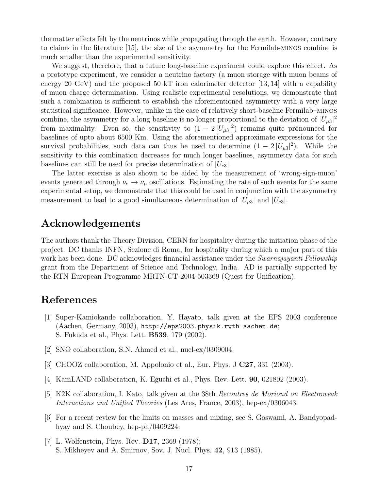the matter effects felt by the neutrinos while propagating through the earth. However, contrary to claims in the literature [15], the size of the asymmetry for the Fermilab-minos combine is much smaller than the experimental sensitivity.

We suggest, therefore, that a future long-baseline experiment could explore this effect. As a prototype experiment, we consider a neutrino factory (a muon storage with muon beams of energy 20 GeV) and the proposed 50 kT iron calorimeter detector  $[13, 14]$  with a capability of muon charge determination. Using realistic experimental resolutions, we demonstrate that such a combination is sufficient to establish the aforementioned asymmetry with a very large statistical significance. However, unlike in the case of relatively short-baseline Fermilab–minos combine, the asymmetry for a long baseline is no longer proportional to the deviation of  $|U_{\mu 3}|^2$ from maximality. Even so, the sensitivity to  $(1 - 2 |U_{\mu 3}|^2)$  remains quite pronounced for baselines of upto about 6500 Km. Using the aforementioned approximate expressions for the survival probabilities, such data can thus be used to determine  $(1 - 2 |U_{\mu 3}|^2)$ . While the sensitivity to this combination decreases for much longer baselines, asymmetry data for such baselines can still be used for precise determination of  $|U_{e3}|$ .

The latter exercise is also shown to be aided by the measurement of 'wrong-sign-muon' events generated through  $\nu_e \rightarrow \nu_\mu$  oscillations. Estimating the rate of such events for the same experimental setup, we demonstrate that this could be used in conjunction with the asymmetry measurement to lead to a good simultaneous determination of  $|U_{\mu 3}|$  and  $|U_{e3}|$ .

## Acknowledgements

The authors thank the Theory Division, CERN for hospitality during the initiation phase of the project. DC thanks INFN, Sezione di Roma, for hospitality during which a major part of this work has been done. DC acknowledges financial assistance under the *Swarnajayanti Fellowship* grant from the Department of Science and Technology, India. AD is partially supported by the RTN European Programme MRTN-CT-2004-503369 (Quest for Unification).

## References

- [1] Super-Kamiokande collaboration, Y. Hayato, talk given at the EPS 2003 conference (Aachen, Germany, 2003), http://eps2003.physik.rwth-aachen.de; S. Fukuda et al., Phys. Lett. B539, 179 (2002).
- [2] SNO collaboration, S.N. Ahmed et al., nucl-ex/0309004.
- [3] CHOOZ collaboration, M. Appolonio et al., Eur. Phys. J C27, 331 (2003).
- [4] KamLAND collaboration, K. Eguchi et al., Phys. Rev. Lett. 90, 021802 (2003).
- [5] K2K collaboration, I. Kato, talk given at the 38th Recontres de Moriond on Electroweak Interactions and Unified Theories (Les Ares, France, 2003), hep-ex/0306043.
- [6] For a recent review for the limits on masses and mixing, see S. Goswami, A. Bandyopadhyay and S. Choubey, hep-ph/0409224.
- [7] L. Wolfenstein, Phys. Rev. **D17**, 2369 (1978); S. Mikheyev and A. Smirnov, Sov. J. Nucl. Phys. 42, 913 (1985).